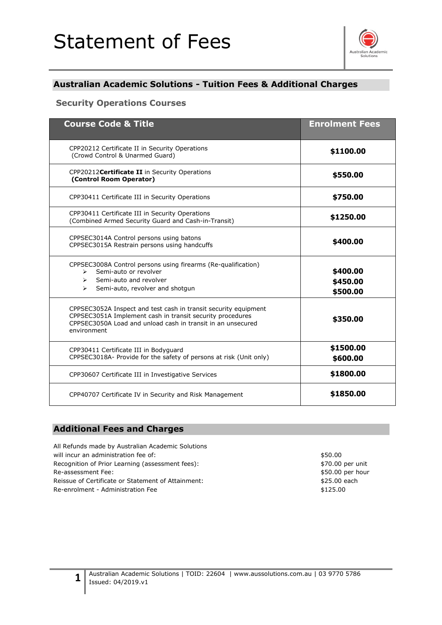# Statement of Fees



## **Australian Academic Solutions - Tuition Fees & Additional Charges**

#### **Security Operations Courses**

| <b>Course Code &amp; Title</b>                                                                                                                                                                             | <b>Enrolment Fees</b>            |
|------------------------------------------------------------------------------------------------------------------------------------------------------------------------------------------------------------|----------------------------------|
| CPP20212 Certificate II in Security Operations<br>(Crowd Control & Unarmed Guard)                                                                                                                          | \$1100.00                        |
| CPP20212 Certificate II in Security Operations<br>(Control Room Operator)                                                                                                                                  | \$550.00                         |
| CPP30411 Certificate III in Security Operations                                                                                                                                                            | \$750.00                         |
| CPP30411 Certificate III in Security Operations<br>(Combined Armed Security Guard and Cash-in-Transit)                                                                                                     | \$1250.00                        |
| CPPSEC3014A Control persons using batons<br>CPPSEC3015A Restrain persons using handcuffs                                                                                                                   | \$400.00                         |
| CPPSEC3008A Control persons using firearms (Re-qualification)<br>Semi-auto or revolver<br>$\blacktriangleright$<br>Semi-auto and revolver<br>$\triangleright$<br>Semi-auto, revolver and shotgun<br>➤      | \$400.00<br>\$450.00<br>\$500.00 |
| CPPSEC3052A Inspect and test cash in transit security equipment<br>CPPSEC3051A Implement cash in transit security procedures<br>CPPSEC3050A Load and unload cash in transit in an unsecured<br>environment | \$350.00                         |
| CPP30411 Certificate III in Bodyguard<br>CPPSEC3018A- Provide for the safety of persons at risk (Unit only)                                                                                                | \$1500.00<br>\$600.00            |
| CPP30607 Certificate III in Investigative Services                                                                                                                                                         | \$1800.00                        |
| CPP40707 Certificate IV in Security and Risk Management                                                                                                                                                    | \$1850.00                        |

### **Additional Fees and Charges**

**1**

All Refunds made by Australian Academic Solutions will incur an administration fee of:  $$50.00$ Recognition of Prior Learning (assessment fees):  $$70.00$  per unit Re-assessment Fee:  $$50.00$  per hour Reissue of Certificate or Statement of Attainment:  $$25.00$  each Re-enrolment - Administration Fee  $$125.00$